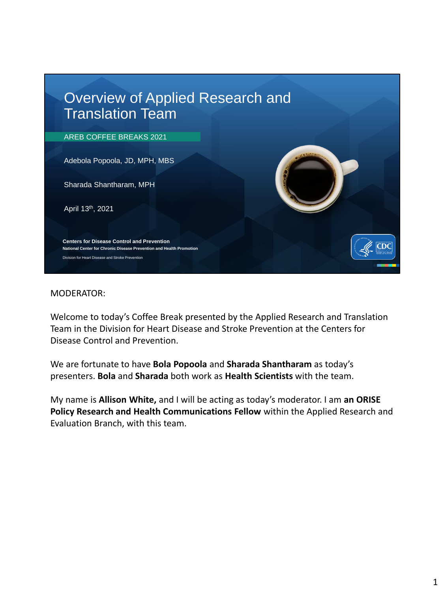

Welcome to today's Coffee Break presented by the Applied Research and Translation Team in the Division for Heart Disease and Stroke Prevention at the Centers for Disease Control and Prevention.

We are fortunate to have **Bola Popoola** and **Sharada Shantharam** as today's presenters. **Bola** and **Sharada** both work as **Health Scientists** with the team.

My name is **Allison White,** and I will be acting as today's moderator. I am **an ORISE Policy Research and Health Communications Fellow** within the Applied Research and Evaluation Branch, with this team.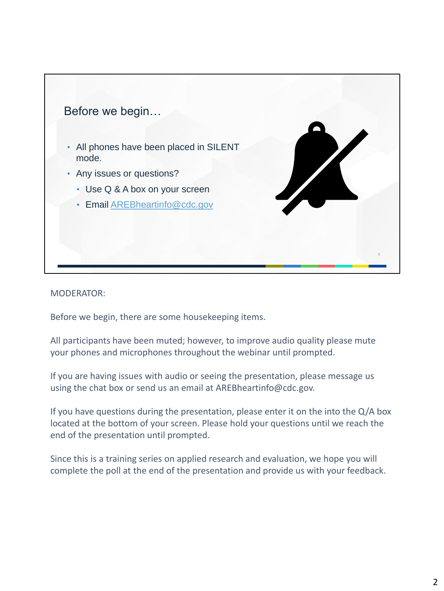

Before we begin, there are some housekeeping items.

All participants have been muted; however, to improve audio quality please mute your phones and microphones throughout the webinar until prompted.

If you are having issues with audio or seeing the presentation, please message us using the chat box or send us an email at AREBheartinfo@cdc.gov.

If you have questions during the presentation, please enter it on the into the Q/A box located at the bottom of your screen. Please hold your questions until we reach the end of the presentation until prompted.

Since this is a training series on applied research and evaluation, we hope you will complete the poll at the end of the presentation and provide us with your feedback.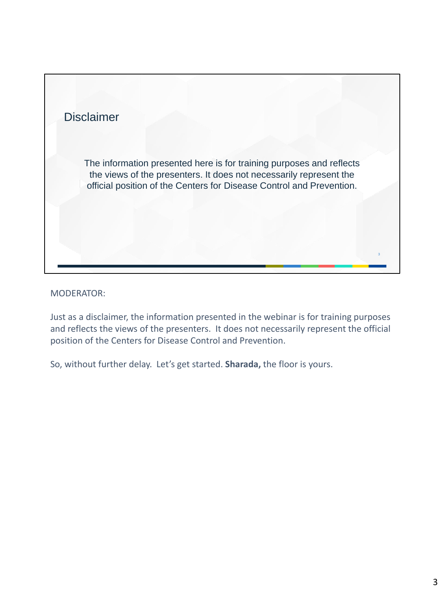

Just as a disclaimer, the information presented in the webinar is for training purposes and reflects the views of the presenters. It does not necessarily represent the official position of the Centers for Disease Control and Prevention.

So, without further delay. Let's get started. **Sharada,** the floor is yours.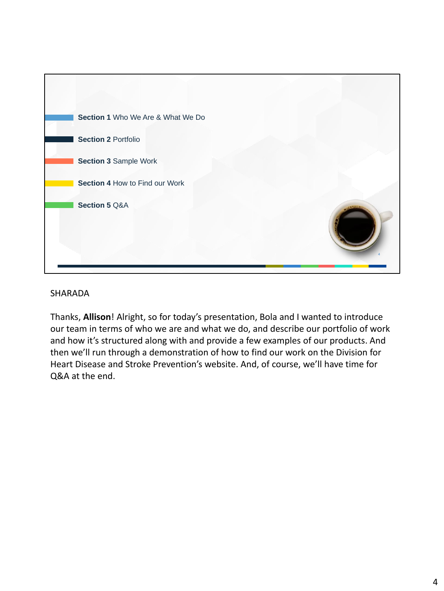

Thanks, **Allison**! Alright, so for today's presentation, Bola and I wanted to introduce our team in terms of who we are and what we do, and describe our portfolio of work and how it's structured along with and provide a few examples of our products. And then we'll run through a demonstration of how to find our work on the Division for Heart Disease and Stroke Prevention's website. And, of course, we'll have time for Q&A at the end.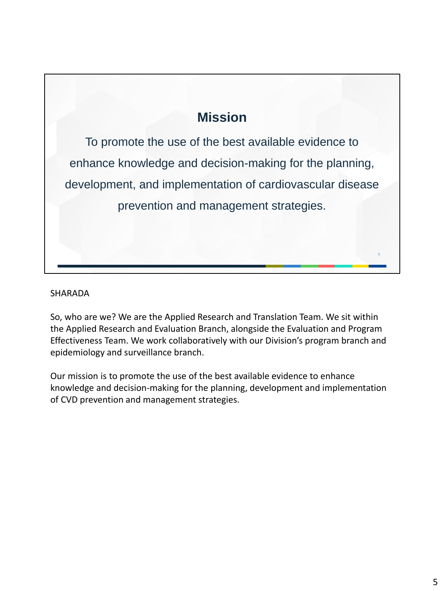# **Mission**

To promote the use of the best available evidence to enhance knowledge and decision-making for the planning, development, and implementation of cardiovascular disease prevention and management strategies.

#### SHARADA

So, who are we? We are the Applied Research and Translation Team. We sit within the Applied Research and Evaluation Branch, alongside the Evaluation and Program Effectiveness Team. We work collaboratively with our Division's program branch and epidemiology and surveillance branch.

Our mission is to promote the use of the best available evidence to enhance knowledge and decision-making for the planning, development and implementation of CVD prevention and management strategies.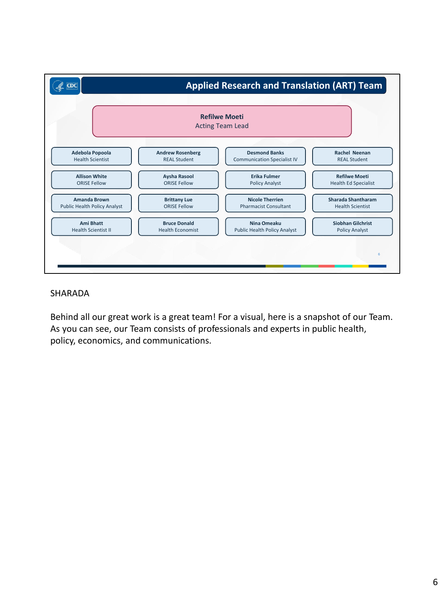

Behind all our great work is a great team! For a visual, here is a snapshot of our Team. As you can see, our Team consists of professionals and experts in public health, policy, economics, and communications.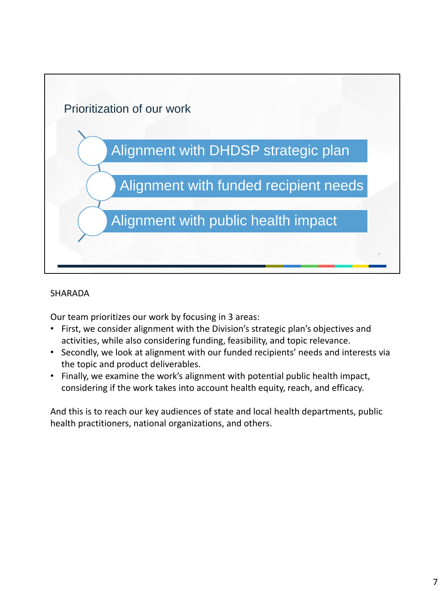

Our team prioritizes our work by focusing in 3 areas:

- First, we consider alignment with the Division's strategic plan's objectives and activities, while also considering funding, feasibility, and topic relevance.
- Secondly, we look at alignment with our funded recipients' needs and interests via the topic and product deliverables.
- Finally, we examine the work's alignment with potential public health impact, considering if the work takes into account health equity, reach, and efficacy.

And this is to reach our key audiences of state and local health departments, public health practitioners, national organizations, and others.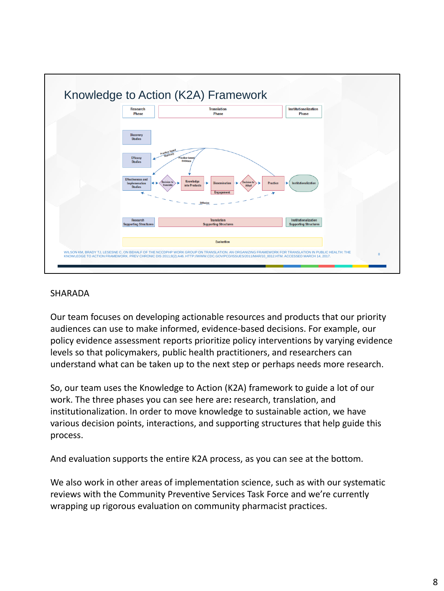

Our team focuses on developing actionable resources and products that our priority audiences can use to make informed, evidence-based decisions. For example, our policy evidence assessment reports prioritize policy interventions by varying evidence levels so that policymakers, public health practitioners, and researchers can understand what can be taken up to the next step or perhaps needs more research.

So, our team uses the Knowledge to Action (K2A) framework to guide a lot of our work. The three phases you can see here are**:** research, translation, and institutionalization. In order to move knowledge to sustainable action, we have various decision points, interactions, and supporting structures that help guide this process.

And evaluation supports the entire K2A process, as you can see at the bottom.

We also work in other areas of implementation science, such as with our systematic reviews with the Community Preventive Services Task Force and we're currently wrapping up rigorous evaluation on community pharmacist practices.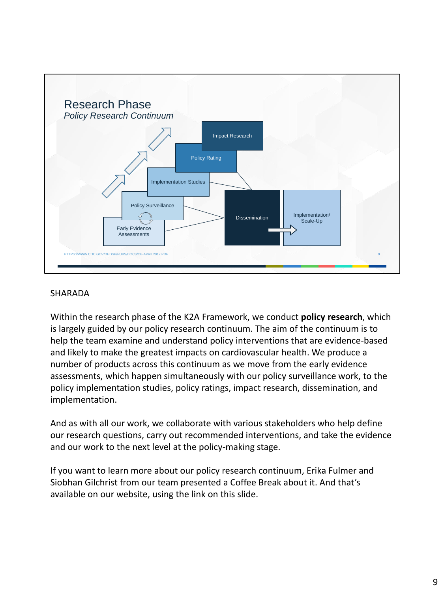

Within the research phase of the K2A Framework, we conduct **policy research**, which is largely guided by our policy research continuum. The aim of the continuum is to help the team examine and understand policy interventions that are evidence-based and likely to make the greatest impacts on cardiovascular health. We produce a number of products across this continuum as we move from the early evidence assessments, which happen simultaneously with our policy surveillance work, to the policy implementation studies, policy ratings, impact research, dissemination, and implementation.

And as with all our work, we collaborate with various stakeholders who help define our research questions, carry out recommended interventions, and take the evidence and our work to the next level at the policy-making stage.

If you want to learn more about our policy research continuum, Erika Fulmer and Siobhan Gilchrist from our team presented a Coffee Break about it. And that's available on our website, using the link on this slide.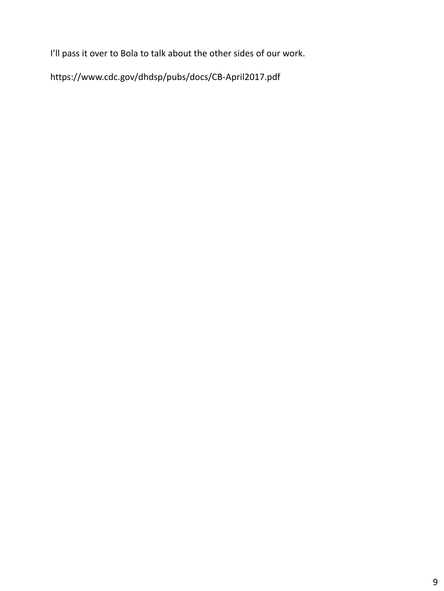I'll pass it over to Bola to talk about the other sides of our work.

https://www.cdc.gov/dhdsp/pubs/docs/CB-April2017.pdf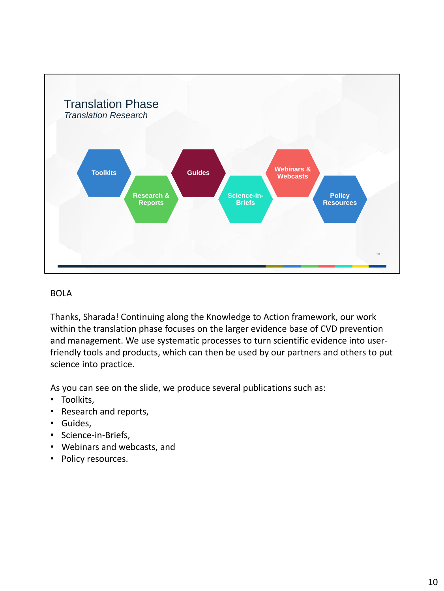

Thanks, Sharada! Continuing along the Knowledge to Action framework, our work within the translation phase focuses on the larger evidence base of CVD prevention and management. We use systematic processes to turn scientific evidence into userfriendly tools and products, which can then be used by our partners and others to put science into practice.

As you can see on the slide, we produce several publications such as:

- Toolkits,
- Research and reports,
- Guides,
- Science-in-Briefs,
- Webinars and webcasts, and
- Policy resources.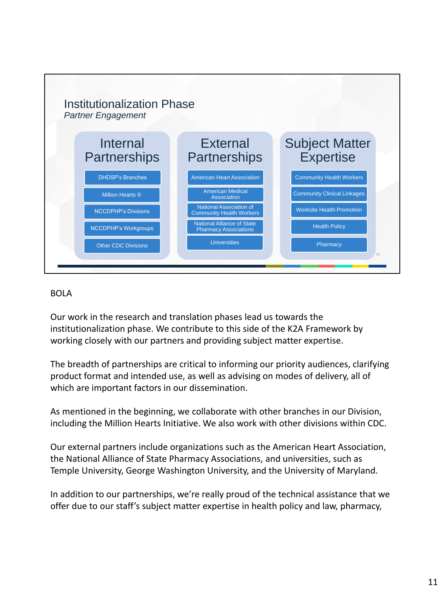

Our work in the research and translation phases lead us towards the institutionalization phase. We contribute to this side of the K2A Framework by working closely with our partners and providing subject matter expertise.

The breadth of partnerships are critical to informing our priority audiences, clarifying product format and intended use, as well as advising on modes of delivery, all of which are important factors in our dissemination.

As mentioned in the beginning, we collaborate with other branches in our Division, including the Million Hearts Initiative. We also work with other divisions within CDC.

Our external partners include organizations such as the American Heart Association, the National Alliance of State Pharmacy Associations, and universities, such as Temple University, George Washington University, and the University of Maryland.

In addition to our partnerships, we're really proud of the technical assistance that we offer due to our staff's subject matter expertise in health policy and law, pharmacy,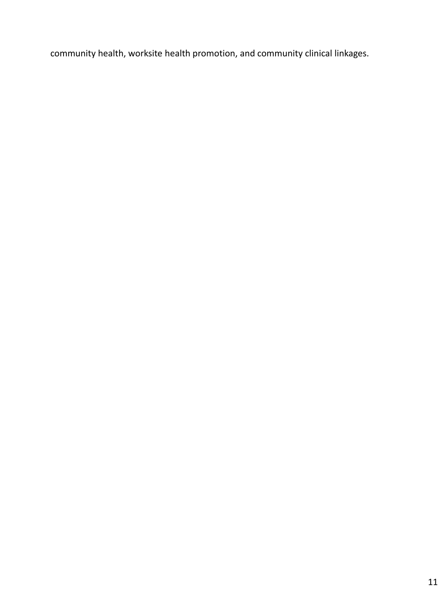community health, worksite health promotion, and community clinical linkages.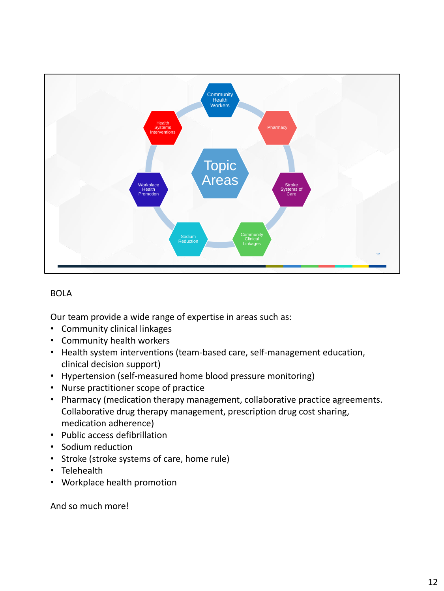

Our team provide a wide range of expertise in areas such as:

- Community clinical linkages
- Community health workers
- Health system interventions (team-based care, self-management education, clinical decision support)
- Hypertension (self-measured home blood pressure monitoring)
- Nurse practitioner scope of practice
- Pharmacy (medication therapy management, collaborative practice agreements. Collaborative drug therapy management, prescription drug cost sharing, medication adherence)
- Public access defibrillation
- Sodium reduction
- Stroke (stroke systems of care, home rule)
- Telehealth
- Workplace health promotion

And so much more!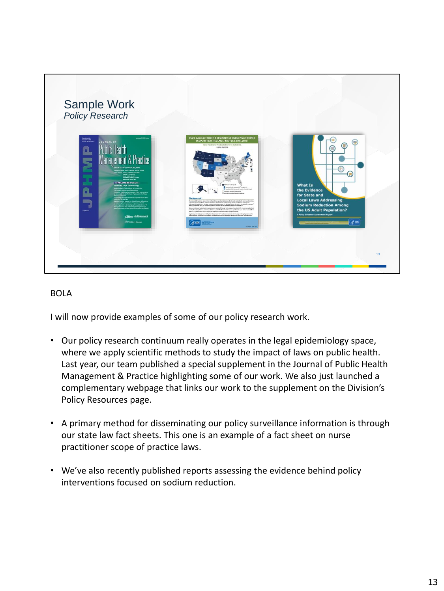

I will now provide examples of some of our policy research work.

- Our policy research continuum really operates in the legal epidemiology space, where we apply scientific methods to study the impact of laws on public health. Last year, our team published a special supplement in the Journal of Public Health Management & Practice highlighting some of our work. We also just launched a complementary webpage that links our work to the supplement on the Division's Policy Resources page.
- A primary method for disseminating our policy surveillance information is through our state law fact sheets. This one is an example of a fact sheet on nurse practitioner scope of practice laws.
- We've also recently published reports assessing the evidence behind policy interventions focused on sodium reduction.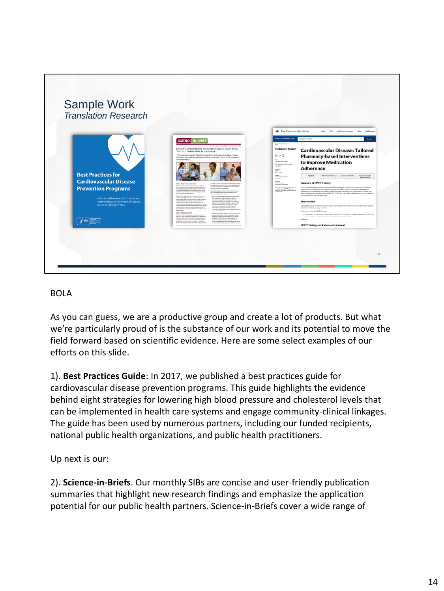

As you can guess, we are a productive group and create a lot of products. But what we're particularly proud of is the substance of our work and its potential to move the field forward based on scientific evidence. Here are some select examples of our efforts on this slide.

1). **Best Practices Guide**: In 2017, we published a best practices guide for cardiovascular disease prevention programs. This guide highlights the evidence behind eight strategies for lowering high blood pressure and cholesterol levels that can be implemented in health care systems and engage community-clinical linkages. The guide has been used by numerous partners, including our funded recipients, national public health organizations, and public health practitioners.

Up next is our:

2). **Science-in-Briefs**. Our monthly SIBs are concise and user-friendly publication summaries that highlight new research findings and emphasize the application potential for our public health partners. Science-in-Briefs cover a wide range of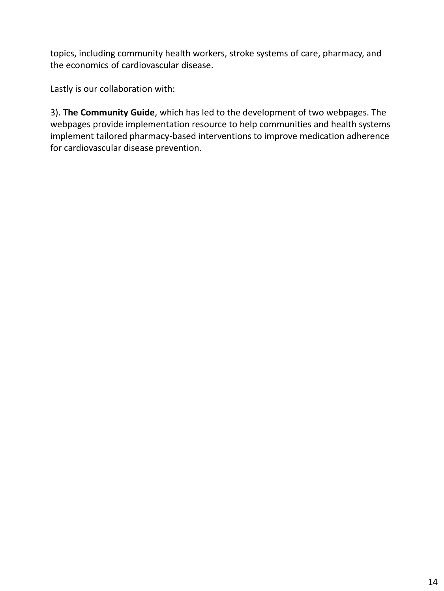topics, including community health workers, stroke systems of care, pharmacy, and the economics of cardiovascular disease.

Lastly is our collaboration with:

3). **The Community Guide**, which has led to the development of two webpages. The webpages provide implementation resource to help communities and health systems implement tailored pharmacy-based interventions to improve medication adherence for cardiovascular disease prevention.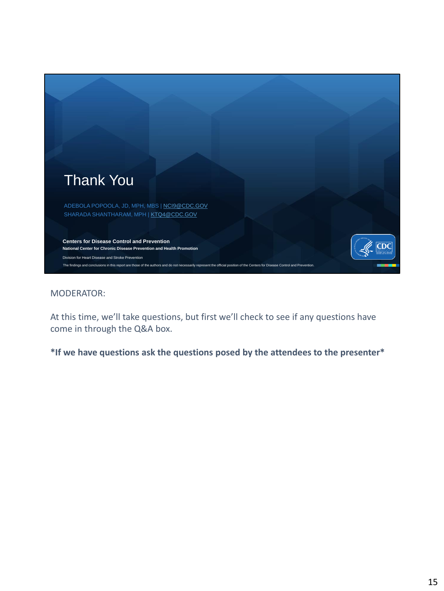

At this time, we'll take questions, but first we'll check to see if any questions have come in through the Q&A box.

**\*If we have questions ask the questions posed by the attendees to the presenter\***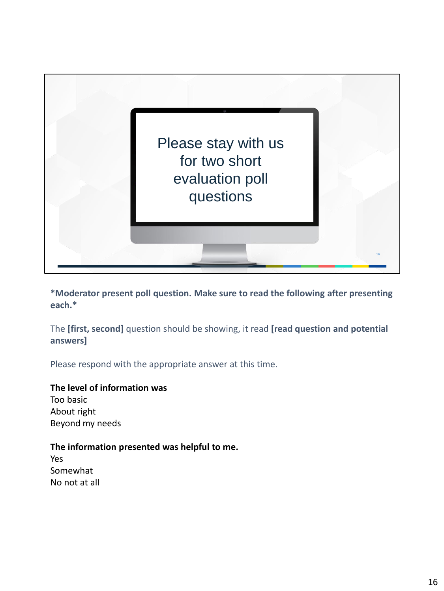

**\*Moderator present poll question. Make sure to read the following after presenting each.\***

The **[first, second]** question should be showing, it read **[read question and potential answers]**

Please respond with the appropriate answer at this time.

### **The level of information was**

Too basic About right Beyond my needs

### **The information presented was helpful to me.**

Yes Somewhat No not at all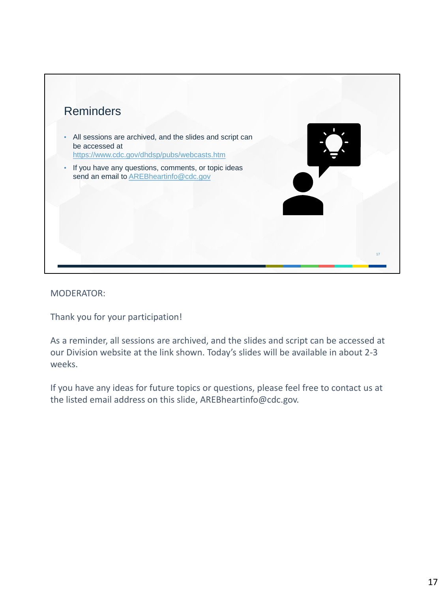

Thank you for your participation!

As a reminder, all sessions are archived, and the slides and script can be accessed at our Division website at the link shown. Today's slides will be available in about 2-3 weeks.

If you have any ideas for future topics or questions, please feel free to contact us at the listed email address on this slide, AREBheartinfo@cdc.gov.